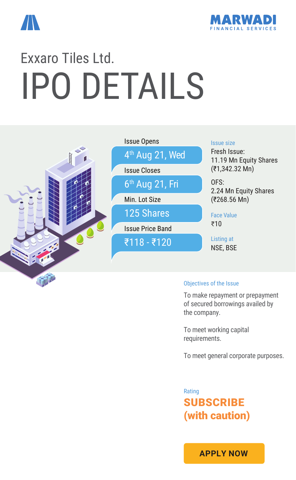



# IPO DETAILS Exxaro Tiles Ltd.



#### Objectives of the Issue

To make repayment or prepayment of secured borrowings availed by the company.

To meet working capital requirements.

To meet general corporate purposes.

SUBSCRIBE (with caution) Rating

**[APPLY NOW](https://boffice.marwadionline.com/MSFLBackoffice/ipo.aspx)**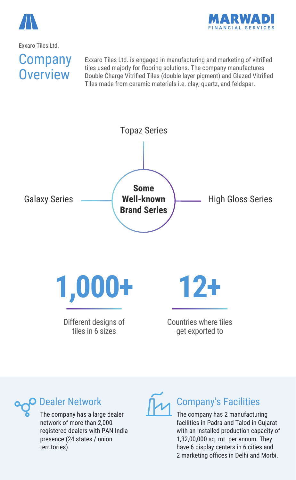



#### Exxaro Tiles Ltd.

### **Company Overview**

Exxaro Tiles Ltd. is engaged in manufacturing and marketing of vitrified tiles used majorly for flooring solutions. The company manufactures Double Charge Vitrified Tiles (double layer pigment) and Glazed Vitrified Tiles made from ceramic materials i.e. clay, quartz, and feldspar.



### Dealer Network

The company has a large dealer network of more than 2,000 registered dealers with PAN India presence (24 states / union territories).



#### Company's Facilities

The company has 2 manufacturing facilities in Padra and Talod in Gujarat with an installed production capacity of 1,32,00,000 sq. mt. per annum. They have 6 display centers in 6 cities and 2 marketing offices in Delhi and Morbi.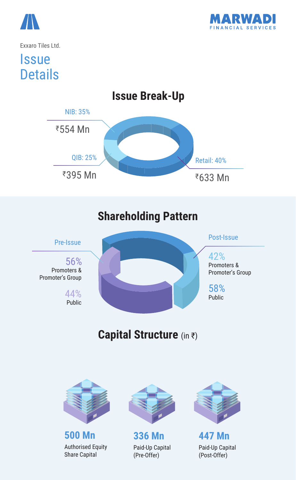



Exxaro Tiles Ltd.

## **Issue Details**

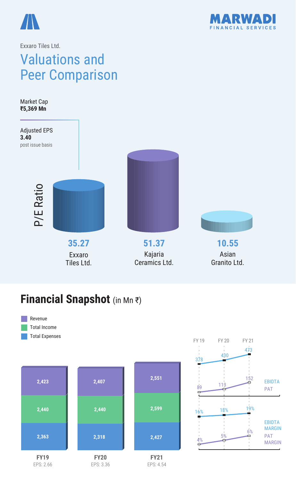



#### Valuations and Peer Comparison Exxaro Tiles Ltd.

Market Cap **₹5,369 Mn**



#### **Financial Snapshot** (in Mn ₹)